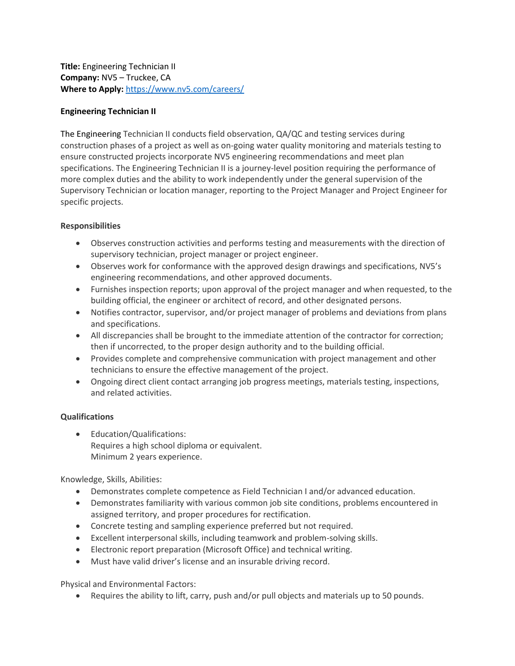**Title:** Engineering Technician II **Company:** NV5 – Truckee, CA **Where to Apply:** <https://www.nv5.com/careers/>

## **Engineering Technician II**

The Engineering Technician II conducts field observation, QA/QC and testing services during construction phases of a project as well as on-going water quality monitoring and materials testing to ensure constructed projects incorporate NV5 engineering recommendations and meet plan specifications. The Engineering Technician II is a journey-level position requiring the performance of more complex duties and the ability to work independently under the general supervision of the Supervisory Technician or location manager, reporting to the Project Manager and Project Engineer for specific projects.

## **Responsibilities**

- Observes construction activities and performs testing and measurements with the direction of supervisory technician, project manager or project engineer.
- Observes work for conformance with the approved design drawings and specifications, NV5's engineering recommendations, and other approved documents.
- Furnishes inspection reports; upon approval of the project manager and when requested, to the building official, the engineer or architect of record, and other designated persons.
- Notifies contractor, supervisor, and/or project manager of problems and deviations from plans and specifications.
- All discrepancies shall be brought to the immediate attention of the contractor for correction; then if uncorrected, to the proper design authority and to the building official.
- Provides complete and comprehensive communication with project management and other technicians to ensure the effective management of the project.
- Ongoing direct client contact arranging job progress meetings, materials testing, inspections, and related activities.

## **Qualifications**

• Education/Qualifications: Requires a high school diploma or equivalent. Minimum 2 years experience.

Knowledge, Skills, Abilities:

- Demonstrates complete competence as Field Technician I and/or advanced education.
- Demonstrates familiarity with various common job site conditions, problems encountered in assigned territory, and proper procedures for rectification.
- Concrete testing and sampling experience preferred but not required.
- Excellent interpersonal skills, including teamwork and problem-solving skills.
- Electronic report preparation (Microsoft Office) and technical writing.
- Must have valid driver's license and an insurable driving record.

Physical and Environmental Factors:

• Requires the ability to lift, carry, push and/or pull objects and materials up to 50 pounds.